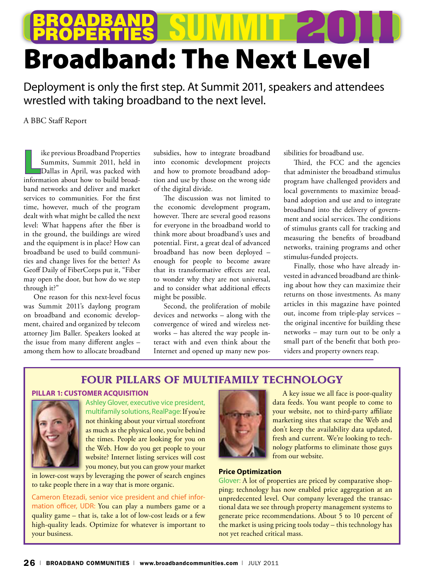### **SUI OPERTIES** Broadband: The Next Level

Deployment is only the first step. At Summit 2011, speakers and attendees wrestled with taking broadband to the next level.

A BBC Staff Report

Islam is Broadband Properties<br>
Summits, Summit 2011, held in<br>
Dallas in April, was packed with<br>
information about how to build broadike previous Broadband Properties Summits, Summit 2011, held in Dallas in April, was packed with band networks and deliver and market services to communities. For the first time, however, much of the program dealt with what might be called the next level: What happens after the fiber is in the ground, the buildings are wired and the equipment is in place? How can broadband be used to build communities and change lives for the better? As Geoff Daily of FiberCorps put it, "Fiber may open the door, but how do we step through it?"

One reason for this next-level focus was Summit 2011's daylong program on broadband and economic development, chaired and organized by telecom attorney Jim Baller. Speakers looked at the issue from many different angles – among them how to allocate broadband subsidies, how to integrate broadband into economic development projects and how to promote broadband adoption and use by those on the wrong side of the digital divide.

The discussion was not limited to the economic development program, however. There are several good reasons for everyone in the broadband world to think more about broadband's uses and potential. First, a great deal of advanced broadband has now been deployed – enough for people to become aware that its transformative effects are real, to wonder why they are not universal, and to consider what additional effects might be possible.

Second, the proliferation of mobile devices and networks – along with the convergence of wired and wireless networks – has altered the way people interact with and even think about the Internet and opened up many new possibilities for broadband use.

Third, the FCC and the agencies that administer the broadband stimulus program have challenged providers and local governments to maximize broadband adoption and use and to integrate broadband into the delivery of government and social services. The conditions of stimulus grants call for tracking and measuring the benefits of broadband networks, training programs and other stimulus-funded projects.

Finally, those who have already invested in advanced broadband are thinking about how they can maximize their returns on those investments. As many articles in this magazine have pointed out, income from triple-play services – the original incentive for building these networks – may turn out to be only a small part of the benefit that both providers and property owners reap.

#### **Four Pillars of Multifamily Technology**

#### **Pillar 1: Customer Acquisition**



Ashley Glover, executive vice president, multifamily solutions, RealPage: If you're not thinking about your virtual storefront as much as the physical one, you're behind the times. People are looking for you on the Web. How do you get people to your website? Internet listing services will cost you money, but you can grow your market

in lower-cost ways by leveraging the power of search engines to take people there in a way that is more organic.

Cameron Etezadi, senior vice president and chief information officer, UDR: You can play a numbers game or a quality game – that is, take a lot of low-cost leads or a few high-quality leads. Optimize for whatever is important to your business.



A key issue we all face is poor-quality data feeds. You want people to come to your website, not to third-party affiliate marketing sites that scrape the Web and don't keep the availability data updated, fresh and current. We're looking to technology platforms to eliminate those guys from our website.

#### **Price Optimization**

Glover: A lot of properties are priced by comparative shopping; technology has now enabled price aggregation at an unpredecented level. Our company leveraged the transactional data we see through property management systems to generate price recommendations. About 5 to 10 percent of the market is using pricing tools today – this technology has not yet reached critical mass.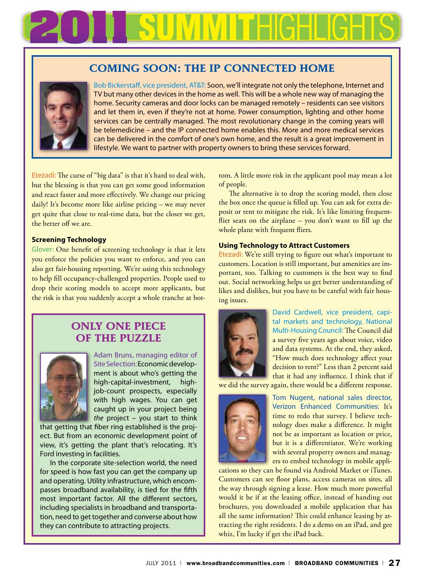# SUMMITHGHLIG

#### **Coming Soon: The IP Connected Home**



Bob Bickerstaff, vice president, AT&T: Soon, we'll integrate not only the telephone, Internet and TV but many other devices in the home as well. This will be a whole new way of managing the home. Security cameras and door locks can be managed remotely – residents can see visitors and let them in, even if they're not at home. Power consumption, lighting and other home services can be centrally managed. The most revolutionary change in the coming years will be telemedicine – and the IP connected home enables this. More and more medical services can be delivered in the comfort of one's own home, and the result is a great improvement in lifestyle. We want to partner with property owners to bring these services forward.

Etezadi: The curse of "big data" is that it's hard to deal with, but the blessing is that you can get some good information and react faster and more effectively. We change our pricing daily! It's become more like airline pricing – we may never get quite that close to real-time data, but the closer we get, the better off we are.

#### **Screening Technology**

Glover: One benefit of screening technology is that it lets you enforce the policies you want to enforce, and you can also get fair-housing reporting. We're using this technology to help fill occupancy-challenged properties. People used to drop their scoring models to accept more applicants, but the risk is that you suddenly accept a whole tranche at bot-

#### **Only One Piece of the Puzzle**



Adam Bruns, managing editor of Site Selection: Economic development is about who's getting the high-capital-investment, highjob-count prospects, especially with high wages. You can get caught up in your project being *the* project – you start to think

that getting that fiber ring established is the project. But from an economic development point of view, it's getting the plant that's relocating. It's Ford investing in facilities.

In the corporate site-selection world, the need for speed is how fast you can get the company up and operating. Utility infrastructure, which encompasses broadband availability, is tied for the fifth most important factor. All the different sectors, including specialists in broadband and transportation, need to get together and converse about how they can contribute to attracting projects.

tom. A little more risk in the applicant pool may mean a lot of people.

The alternative is to drop the scoring model, then close the box once the queue is filled up. You can ask for extra deposit or rent to mitigate the risk. It's like limiting frequentflier seats on the airplane – you don't want to fill up the whole plane with frequent fliers.

#### **Using Technology to Attract Customers**

Etezadi: We're still trying to figure out what's important to customers. Location is still important, but amenities are important, too. Talking to customers is the best way to find out. Social networking helps us get better understanding of likes and dislikes, but you have to be careful with fair housing issues.



David Cardwell, vice president, capital markets and technology, National Multi-Housing Council: The Council did a survey five years ago about voice, video and data systems. At the end, they asked, "How much does technology affect your decision to rent?" Less than 2 percent said that it had any influence. I think that if

we did the survey again, there would be a different response.



Tom Nugent, national sales director, Verizon Enhanced Communities: It's time to redo that survey. I believe technology does make a difference. It might not be as important as location or price, but it is a differentiator. We're working with several property owners and managers to embed technology in mobile appli-

cations so they can be found via Android Market or iTunes. Customers can see floor plans, access cameras on sites, all the way through signing a lease. How much more powerful would it be if at the leasing office, instead of handing out brochures, you downloaded a mobile application that has all the same information? This could enhance leasing by attracting the right residents. I do a demo on an iPad, and gee whiz, I'm lucky if get the iPad back.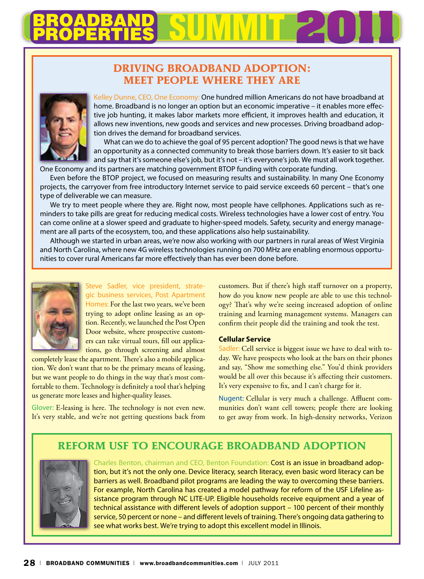### **Driving Broadband Adoption: Meet People Where They Are**



Kelley Dunne, CEO, One Economy: One hundred million Americans do not have broadband at home. Broadband is no longer an option but an economic imperative – it enables more effective job hunting, it makes labor markets more efficient, it improves health and education, it allows new inventions, new goods and services and new processes. Driving broadband adoption drives the demand for broadband services.

What can we do to achieve the goal of 95 percent adoption? The good news is that we have an opportunity as a connected community to break those barriers down. It's easier to sit back and say that it's someone else's job, but it's not – it's everyone's job. We must all work together. One Economy and its partners are matching government BTOP funding with corporate funding.

Even before the BTOP project, we focused on measuring results and sustainability. In many One Economy projects, the carryover from free introductory Internet service to paid service exceeds 60 percent – that's one type of deliverable we can measure.

We try to meet people where they are. Right now, most people have cellphones. Applications such as reminders to take pills are great for reducing medical costs. Wireless technologies have a lower cost of entry. You can come online at a slower speed and graduate to higher-speed models. Safety, security and energy management are all parts of the ecosystem, too, and these applications also help sustainability.

Although we started in urban areas, we're now also working with our partners in rural areas of West Virginia and North Carolina, where new 4G wireless technologies running on 700 MHz are enabling enormous opportunities to cover rural Americans far more effectively than has ever been done before.



Steve Sadler, vice president, strategic business services, Post Apartment Homes: For the last two years, we've been trying to adopt online leasing as an option. Recently, we launched the Post Open Door website, where prospective customers can take virtual tours, fill out applications, go through screening and almost

completely lease the apartment. There's also a mobile application. We don't want that to be the primary means of leasing, but we want people to do things in the way that's most comfortable to them. Technology is definitely a tool that's helping us generate more leases and higher-quality leases.

Glover: E-leasing is here. The technology is not even new. It's very stable, and we're not getting questions back from

customers. But if there's high staff turnover on a property, how do you know new people are able to use this technology? That's why we're seeing increased adoption of online training and learning management systems. Managers can confirm their people did the training and took the test.

#### **Cellular Service**

Sadler: Cell service is biggest issue we have to deal with today. We have prospects who look at the bars on their phones and say, "Show me something else." You'd think providers would be all over this because it's affecting their customers. It's very expensive to fix, and I can't charge for it.

Nugent: Cellular is very much a challenge. Affluent communities don't want cell towers; people there are looking to get away from work. In high-density networks, Verizon

#### **Reform USF to Encourage Broadband Adoption**



Charles Benton, chairman and CEO, Benton Foundation: Cost is an issue in broadband adoption, but it's not the only one. Device literacy, search literacy, even basic word literacy can be barriers as well. Broadband pilot programs are leading the way to overcoming these barriers. For example, North Carolina has created a model pathway for reform of the USF Lifeline assistance program through NC LITE-UP. Eligible households receive equipment and a year of technical assistance with different levels of adoption support – 100 percent of their monthly service, 50 percent or none – and different levels of training. There's ongoing data gathering to see what works best. We're trying to adopt this excellent model in Illinois.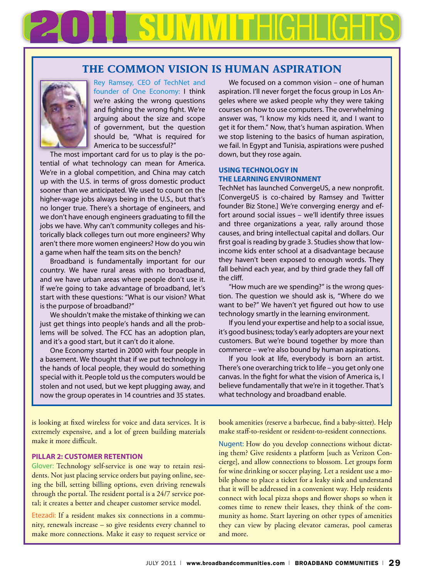#### **The Common Vision Is Human Aspiration**

**SUMMITHGHLIGF** 



Rey Ramsey, CEO of TechNet and founder of One Economy: I think we're asking the wrong questions and fighting the wrong fight. We're arguing about the size and scope of government, but the question should be, "What is required for America to be successful?"

The most important card for us to play is the potential of what technology can mean for America. We're in a global competition, and China may catch up with the U.S. in terms of gross domestic product sooner than we anticipated. We used to count on the higher-wage jobs always being in the U.S., but that's no longer true. There's a shortage of engineers, and we don't have enough engineers graduating to fill the jobs we have. Why can't community colleges and historically black colleges turn out more engineers? Why aren't there more women engineers? How do you win a game when half the team sits on the bench?

Broadband is fundamentally important for our country. We have rural areas with no broadband, and we have urban areas where people don't use it. If we're going to take advantage of broadband, let's start with these questions: "What is our vision? What is the purpose of broadband?"

We shouldn't make the mistake of thinking we can just get things into people's hands and all the problems will be solved. The FCC has an adoption plan, and it's a good start, but it can't do it alone.

One Economy started in 2000 with four people in a basement. We thought that if we put technology in the hands of local people, they would do something special with it. People told us the computers would be stolen and not used, but we kept plugging away, and now the group operates in 14 countries and 35 states.

is looking at fixed wireless for voice and data services. It is extremely expensive, and a lot of green building materials make it more difficult.

#### **Pillar 2: Customer Retention**

Glover: Technology self-service is one way to retain residents. Not just placing service orders but paying online, seeing the bill, setting billing options, even driving renewals through the portal. The resident portal is a 24/7 service portal; it creates a better and cheaper customer service model.

Etezadi: If a resident makes six connections in a community, renewals increase – so give residents every channel to make more connections. Make it easy to request service or

We focused on a common vision – one of human aspiration. I'll never forget the focus group in Los Angeles where we asked people why they were taking courses on how to use computers. The overwhelming answer was, "I know my kids need it, and I want to get it for them." Now, that's human aspiration. When we stop listening to the basics of human aspiration, we fail. In Egypt and Tunisia, aspirations were pushed down, but they rose again.

#### **Using Technology in the Learning Environment**

TechNet has launched ConvergeUS, a new nonprofit. [ConvergeUS is co-chaired by Ramsey and Twitter founder Biz Stone.] We're converging energy and effort around social issues – we'll identify three issues and three organizations a year, rally around those causes, and bring intellectual capital and dollars. Our first goal is reading by grade 3. Studies show that lowincome kids enter school at a disadvantage because they haven't been exposed to enough words. They fall behind each year, and by third grade they fall off the cliff.

"How much are we spending?" is the wrong question. The question we should ask is, "Where do we want to be?" We haven't yet figured out how to use technology smartly in the learning environment.

If you lend your expertise and help to a social issue, it's good business; today's early adopters are your next customers. But we're bound together by more than commerce – we're also bound by human aspirations.

If you look at life, everybody is born an artist. There's one overarching trick to life – you get only one canvas. In the fight for what the vision of America is, I believe fundamentally that we're in it together. That's what technology and broadband enable.

book amenities (reserve a barbecue, find a baby-sitter). Help make staff-to-resident or resident-to-resident connections.

Nugent: How do you develop connections without dictating them? Give residents a platform [such as Verizon Concierge], and allow connections to blossom. Let groups form for wine drinking or soccer playing. Let a resident use a mobile phone to place a ticket for a leaky sink and understand that it will be addressed in a convenient way. Help residents connect with local pizza shops and flower shops so when it comes time to renew their leases, they think of the community as home. Start layering on other types of amenities they can view by placing elevator cameras, pool cameras and more.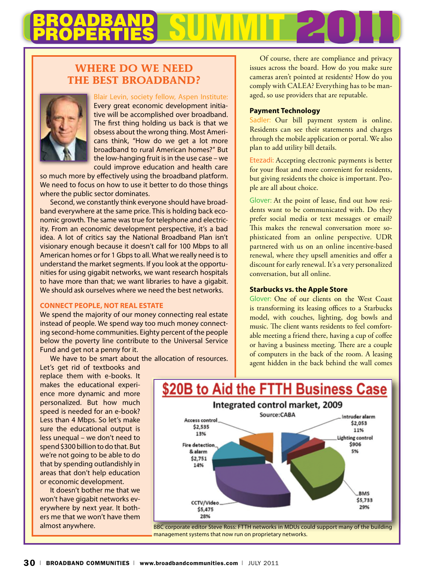

#### **Where Do We Need the Best Broadband?**



#### Blair Levin, society fellow, Aspen Institute:

Every great economic development initiative will be accomplished over broadband. The first thing holding us back is that we obsess about the wrong thing. Most Americans think, "How do we get a lot more broadband to rural American homes?" But the low-hanging fruit is in the use case – we could improve education and health care

so much more by effectively using the broadband platform. We need to focus on how to use it better to do those things where the public sector dominates.

Second, we constantly think everyone should have broadband everywhere at the same price. This is holding back economic growth. The same was true for telephone and electricity. From an economic development perspective, it's a bad idea. A lot of critics say the National Broadband Plan isn't visionary enough because it doesn't call for 100 Mbps to all American homes or for 1 Gbps to all. What we really need is to understand the market segments. If you look at the opportunities for using gigabit networks, we want research hospitals to have more than that; we want libraries to have a gigabit. We should ask ourselves where we need the best networks.

#### **Connect People, Not Real Estate**

We spend the majority of our money connecting real estate instead of people. We spend way too much money connecting second-home communities. Eighty percent of the people below the poverty line contribute to the Universal Service Fund and get not a penny for it.

We have to be smart about the allocation of resources.

Let's get rid of textbooks and replace them with e-books. It makes the educational experience more dynamic and more personalized. But how much speed is needed for an e-book? Less than 4 Mbps. So let's make sure the educational output is less unequal – we don't need to spend \$300 billion to do that. But we're not going to be able to do that by spending outlandishly in areas that don't help education or economic development.

It doesn't bother me that we won't have gigabit networks everywhere by next year. It bothers me that we won't have them

Of course, there are compliance and privacy issues across the board. How do you make sure cameras aren't pointed at residents? How do you comply with CALEA? Everything has to be managed, so use providers that are reputable.

#### **Payment Technology**

Sadler: Our bill payment system is online. Residents can see their statements and charges through the mobile application or portal. We also plan to add utility bill details.

Etezadi: Accepting electronic payments is better for your float and more convenient for residents, but giving residents the choice is important. People are all about choice.

Glover: At the point of lease, find out how residents want to be communicated with. Do they prefer social media or text messages or email? This makes the renewal conversation more sophisticated from an online perspective. UDR partnered with us on an online incentive-based renewal, where they upsell amenities and offer a discount for early renewal. It's a very personalized conversation, but all online.

#### **Starbucks vs. the Apple Store**

Glover: One of our clients on the West Coast is transforming its leasing offices to a Starbucks model, with couches, lighting, dog bowls and music. The client wants residents to feel comfortable meeting a friend there, having a cup of coffee or having a business meeting. There are a couple of computers in the back of the room. A leasing agent hidden in the back behind the wall comes



management systems that now run on proprietary networks.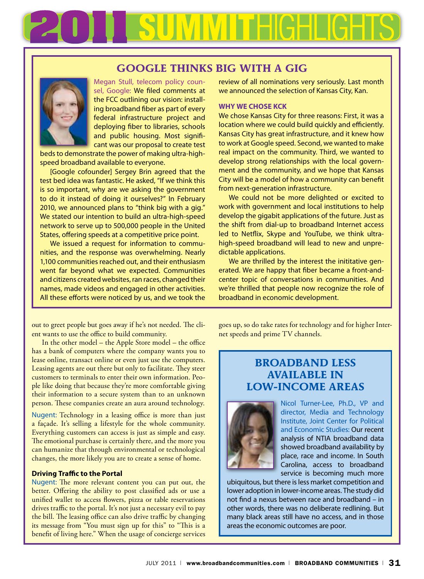# SUMMITHGHLIGH

#### **Google Thinks Big With a Gig**



Megan Stull, telecom policy counsel, Google: We filed comments at the FCC outlining our vision: installing broadband fiber as part of every federal infrastructure project and deploying fiber to libraries, schools and public housing. Most significant was our proposal to create test

beds to demonstrate the power of making ultra-highspeed broadband available to everyone.

[Google cofounder] Sergey Brin agreed that the test bed idea was fantastic. He asked, "If we think this is so important, why are we asking the government to do it instead of doing it ourselves?" In February 2010, we announced plans to "think big with a gig." We stated our intention to build an ultra-high-speed network to serve up to 500,000 people in the United States, offering speeds at a competitive price point.

We issued a request for information to communities, and the response was overwhelming. Nearly 1,100 communities reached out, and their enthusiasm went far beyond what we expected. Communities and citizens created websites, ran races, changed their names, made videos and engaged in other activities. All these efforts were noticed by us, and we took the

out to greet people but goes away if he's not needed. The client wants to use the office to build community.

In the other model – the Apple Store model – the office has a bank of computers where the company wants you to lease online, transact online or even just use the computers. Leasing agents are out there but only to facilitate. They steer customers to terminals to enter their own information. People like doing that because they're more comfortable giving their information to a secure system than to an unknown person. These companies create an aura around technology.

Nugent: Technology in a leasing office is more than just a façade. It's selling a lifestyle for the whole community. Everything customers can access is just as simple and easy. The emotional purchase is certainly there, and the more you can humanize that through environmental or technological changes, the more likely you are to create a sense of home.

#### **Driving Traffic to the Portal**

Nugent: The more relevant content you can put out, the better. Offering the ability to post classified ads or use a unified wallet to access flowers, pizza or table reservations drives traffic to the portal. It's not just a necessary evil to pay the bill. The leasing office can also drive traffic by changing its message from "You must sign up for this" to "This is a benefit of living here." When the usage of concierge services

review of all nominations very seriously. Last month we announced the selection of Kansas City, Kan.

#### **Why We Chose KCK**

We chose Kansas City for three reasons: First, it was a location where we could build quickly and efficiently. Kansas City has great infrastructure, and it knew how to work at Google speed. Second, we wanted to make real impact on the community. Third, we wanted to develop strong relationships with the local government and the community, and we hope that Kansas City will be a model of how a community can benefit from next-generation infrastructure.

We could not be more delighted or excited to work with government and local institutions to help develop the gigabit applications of the future. Just as the shift from dial-up to broadband Internet access led to Netflix, Skype and YouTube, we think ultrahigh-speed broadband will lead to new and unpredictable applications.

We are thrilled by the interest the inititative generated. We are happy that fiber became a front-andcenter topic of conversations in communities. And we're thrilled that people now recognize the role of broadband in economic development.

goes up, so do take rates for technology and for higher Internet speeds and prime TV channels.

#### **Broadband Less Available in Low-Income Areas**



Nicol Turner-Lee, Ph.D., VP and director, Media and Technology Institute, Joint Center for Political and Economic Studies: Our recent analysis of NTIA broadband data showed broadband availability by place, race and income. In South Carolina, access to broadband service is becoming much more

ubiquitous, but there is less market competition and lower adoption in lower-income areas. The study did not find a nexus between race and broadband – in other words, there was no deliberate redlining. But many black areas still have no access, and in those areas the economic outcomes are poor.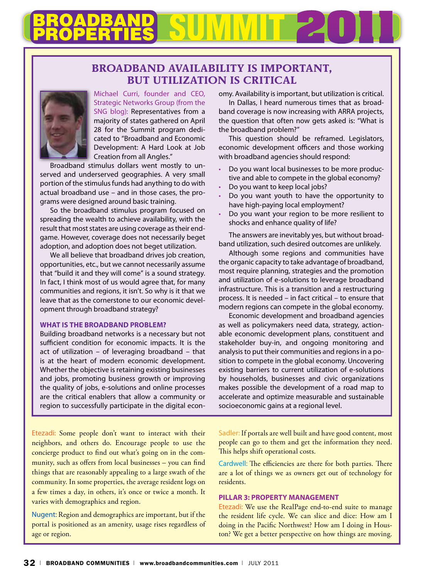#### **Broadband Availability is Important, but Utilization is Critical**



Michael Curri, founder and CEO, Strategic Networks Group (from the SNG blog): Representatives from a majority of states gathered on April 28 for the Summit program dedicated to "Broadband and Economic Development: A Hard Look at Job Creation from all Angles."

Broadband stimulus dollars went mostly to unserved and underserved geographies. A very small portion of the stimulus funds had anything to do with actual broadband use – and in those cases, the programs were designed around basic training.

So the broadband stimulus program focused on spreading the wealth to achieve availability, with the result that most states are using coverage as their endgame. However, coverage does not necessarily beget adoption, and adoption does not beget utilization.

We all believe that broadband drives job creation, opportunities, etc., but we cannot necessarily assume that "build it and they will come" is a sound strategy. In fact, I think most of us would agree that, for many communities and regions, it isn't. So why is it that we leave that as the cornerstone to our economic development through broadband strategy?

#### **What Is the Broadband Problem?**

Building broadband networks is a necessary but not sufficient condition for economic impacts. It is the act of utilization – of leveraging broadband – that is at the heart of modern economic development. Whether the objective is retaining existing businesses and jobs, promoting business growth or improving the quality of jobs, e-solutions and online processes are the critical enablers that allow a community or region to successfully participate in the digital econ-

Etezadi: Some people don't want to interact with their neighbors, and others do. Encourage people to use the concierge product to find out what's going on in the community, such as offers from local businesses – you can find things that are reasonably appealing to a large swath of the community. In some properties, the average resident logs on a few times a day, in others, it's once or twice a month. It varies with demographics and region.

Nugent: Region and demographics are important, but if the portal is positioned as an amenity, usage rises regardless of age or region.

omy. Availability is important, but utilization is critical.

In Dallas, I heard numerous times that as broadband coverage is now increasing with ARRA projects, the question that often now gets asked is: "What is the broadband problem?"

This question should be reframed. Legislators, economic development officers and those working with broadband agencies should respond:

- Do you want local businesses to be more productive and able to compete in the global economy?
- Do you want to keep local jobs?
- Do you want youth to have the opportunity to have high-paying local employment?
- Do you want your region to be more resilient to shocks and enhance quality of life?

The answers are inevitably yes, but without broadband utilization, such desired outcomes are unlikely.

Although some regions and communities have the organic capacity to take advantage of broadband, most require planning, strategies and the promotion and utilization of e-solutions to leverage broadband infrastructure. This is a transition and a restructuring process. It is needed – in fact critical – to ensure that modern regions can compete in the global economy.

Economic development and broadband agencies as well as policymakers need data, strategy, actionable economic development plans, constituent and stakeholder buy-in, and ongoing monitoring and analysis to put their communities and regions in a position to compete in the global economy. Uncovering existing barriers to current utilization of e-solutions by households, businesses and civic organizations makes possible the development of a road map to accelerate and optimize measurable and sustainable socioeconomic gains at a regional level.

Sadler: If portals are well built and have good content, most people can go to them and get the information they need. This helps shift operational costs.

Cardwell: The efficiencies are there for both parties. There are a lot of things we as owners get out of technology for residents.

#### **Pillar 3: Property Management**

Etezadi: We use the RealPage end-to-end suite to manage the resident life cycle. We can slice and dice: How am I doing in the Pacific Northwest? How am I doing in Houston? We get a better perspective on how things are moving.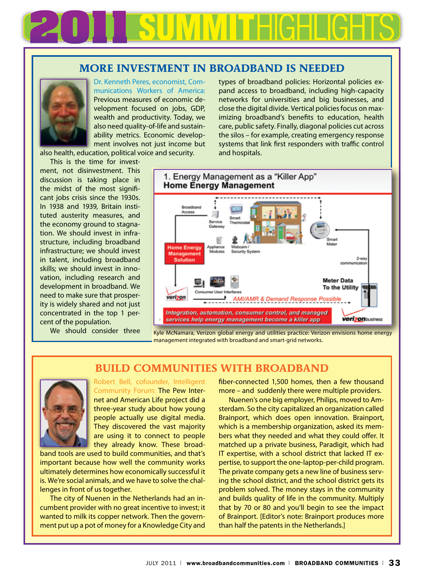#### **More Investment in Broadband Is Needed**

SUMMETHGEIN



Dr. Kenneth Peres, economist, Communications Workers of America: Previous measures of economic development focused on jobs, GDP, wealth and productivity. Today, we also need quality-of-life and sustainability metrics. Economic development involves not just income but

types of broadband policies: Horizontal policies expand access to broadband, including high-capacity networks for universities and big businesses, and close the digital divide. Vertical policies focus on maximizing broadband's benefits to education, health care, public safety. Finally, diagonal policies cut across the silos – for example, creating emergency response systems that link first responders with traffic control and hospitals.

also health, education, political voice and security.

This is the time for investment, not disinvestment. This discussion is taking place in the midst of the most significant jobs crisis since the 1930s. In 1938 and 1939, Britain instituted austerity measures, and the economy ground to stagnation. We should invest in infrastructure, including broadband infrastructure; we should invest in talent, including broadband skills; we should invest in innovation, including research and development in broadband. We need to make sure that prosperity is widely shared and not just concentrated in the top 1 percent of the population.

We should consider three



Kyle McNamara, Verizon global energy and utilities practice: Verizon envisions home energy management integrated with broadband and smart-grid networks.

#### **Build Communities With Broadband**



Robert Bell, cofounder, Intelligent Community Forum: The Pew Internet and American Life project did a three-year study about how young people actually use digital media. They discovered the vast majority are using it to connect to people they already know. These broad-

band tools are used to build communities, and that's important because how well the community works ultimately determines how economically successful it is. We're social animals, and we have to solve the challenges in front of us together.

The city of Nuenen in the Netherlands had an incumbent provider with no great incentive to invest; it wanted to milk its copper network. Then the government put up a pot of money for a Knowledge City and fiber-connected 1,500 homes, then a few thousand more – and suddenly there were multiple providers.

Nuenen's one big employer, Philips, moved to Amsterdam. So the city capitalized an organization called Brainport, which does open innovation. Brainport, which is a membership organization, asked its members what they needed and what they could offer. It matched up a private business, Paradigit, which had IT expertise, with a school district that lacked IT expertise, to support the one-laptop-per-child program. The private company gets a new line of business serving the school district, and the school district gets its problem solved. The money stays in the community and builds quality of life in the community. Multiply that by 70 or 80 and you'll begin to see the impact of Brainport. [Editor's note: Brainport produces more than half the patents in the Netherlands.]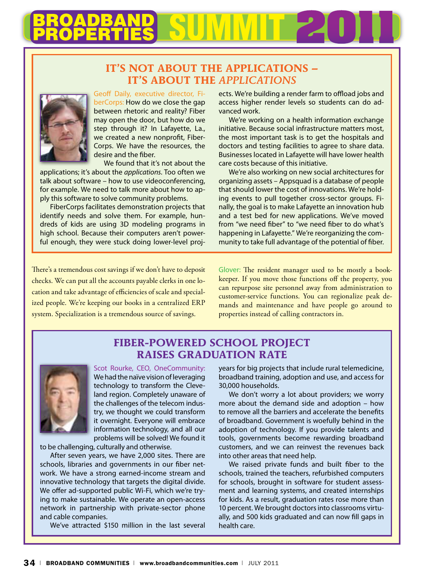#### **It's Not About the Applications – It's About the** *Applications*



Geoff Daily, executive director, FiberCorps: How do we close the gap between rhetoric and reality? Fiber may open the door, but how do we step through it? In Lafayette, La., we created a new nonprofit, Fiber-Corps. We have the resources, the desire and the fiber.

We found that it's not about the

applications; it's about the *applications*. Too often we talk about software – how to use videoconferencing, for example. We need to talk more about how to apply this software to solve community problems.

FiberCorps facilitates demonstration projects that identify needs and solve them. For example, hundreds of kids are using 3D modeling programs in high school. Because their computers aren't powerful enough, they were stuck doing lower-level proj-

ects. We're building a render farm to offload jobs and access higher render levels so students can do advanced work.

We're working on a health information exchange initiative. Because social infrastructure matters most, the most important task is to get the hospitals and doctors and testing facilities to agree to share data. Businesses located in Lafayette will have lower health care costs because of this initiative.

We're also working on new social architectures for organizing assets – Appsquad is a database of people that should lower the cost of innovations. We're holding events to pull together cross-sector groups. Finally, the goal is to make Lafayette an innovation hub and a test bed for new applications. We've moved from "we need fiber" to "we need fiber to do what's happening in Lafayette." We're reorganizing the community to take full advantage of the potential of fiber.

There's a tremendous cost savings if we don't have to deposit checks. We can put all the accounts payable clerks in one location and take advantage of efficiencies of scale and specialized people. We're keeping our books in a centralized ERP system. Specialization is a tremendous source of savings.

Glover: The resident manager used to be mostly a bookkeeper. If you move those functions off the property, you can repurpose site personnel away from administration to customer-service functions. You can regionalize peak demands and maintenance and have people go around to properties instead of calling contractors in.

#### **Fiber-Powered School Project Raises Graduation Rate**



Scot Rourke, CEO, OneCommunity: We had the naïve vision of leveraging technology to transform the Cleveland region. Completely unaware of the challenges of the telecom industry, we thought we could transform it overnight. Everyone will embrace information technology, and all our problems will be solved! We found it

to be challenging, culturally and otherwise.

After seven years, we have 2,000 sites. There are schools, libraries and governments in our fiber network. We have a strong earned-income stream and innovative technology that targets the digital divide. We offer ad-supported public Wi-Fi, which we're trying to make sustainable. We operate an open-access network in partnership with private-sector phone and cable companies.

We've attracted \$150 million in the last several

years for big projects that include rural telemedicine, broadband training, adoption and use, and access for 30,000 households.

We don't worry a lot about providers; we worry more about the demand side and adoption – how to remove all the barriers and accelerate the benefits of broadband. Government is woefully behind in the adoption of technology. If you provide talents and tools, governments become rewarding broadband customers, and we can reinvest the revenues back into other areas that need help.

We raised private funds and built fiber to the schools, trained the teachers, refurbished computers for schools, brought in software for student assessment and learning systems, and created internships for kids. As a result, graduation rates rose more than 10 percent. We brought doctors into classrooms virtually, and 500 kids graduated and can now fill gaps in health care.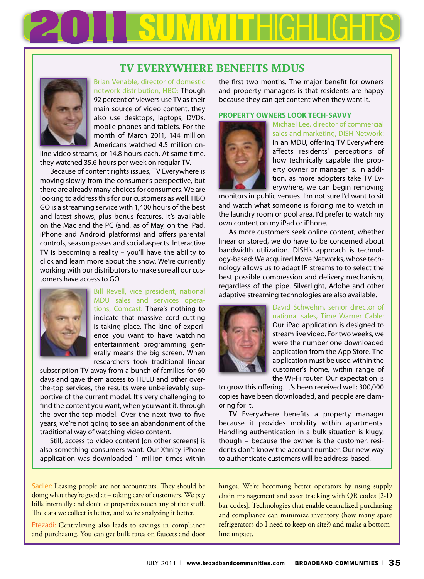

#### **TV Everywhere benefits MDUs**



Brian Venable, director of domestic network distribution, HBO: Though 92 percent of viewers use TV as their main source of video content, they also use desktops, laptops, DVDs, mobile phones and tablets. For the month of March 2011, 144 million Americans watched 4.5 million on-

line video streams, or 14.8 hours each. At same time, they watched 35.6 hours per week on regular TV.

Because of content rights issues, TV Everywhere is moving slowly from the consumer's perspective, but there are already many choices for consumers. We are looking to address this for our customers as well. HBO GO is a streaming service with 1,400 hours of the best and latest shows, plus bonus features. It's available on the Mac and the PC (and, as of May, on the iPad, iPhone and Android platforms) and offers parental controls, season passes and social aspects. Interactive TV is becoming a reality – you'll have the ability to click and learn more about the show. We're currently working with our distributors to make sure all our customers have access to GO.



#### Bill Revell, vice president, national MDU sales and services operations, Comcast: There's nothing to indicate that massive cord cutting is taking place. The kind of experience you want to have watching entertainment programming generally means the big screen. When

researchers took traditional linear

subscription TV away from a bunch of families for 60 days and gave them access to HULU and other overthe-top services, the results were unbelievably supportive of the current model. It's very challenging to find the content you want, when you want it, through the over-the-top model. Over the next two to five years, we're not going to see an abandonment of the traditional way of watching video content.

Still, access to video content [on other screens] is also something consumers want. Our Xfinity iPhone application was downloaded 1 million times within

Sadler: Leasing people are not accountants. They should be doing what they're good at – taking care of customers. We pay bills internally and don't let properties touch any of that stuff. The data we collect is better, and we're analyzing it better.

Etezadi: Centralizing also leads to savings in compliance and purchasing. You can get bulk rates on faucets and door

the first two months. The major benefit for owners and property managers is that residents are happy because they can get content when they want it.

#### **Property Owners Look Tech-Savvy**



Michael Lee, director of commercial sales and marketing, DISH Network: In an MDU, offering TV Everywhere affects residents' perceptions of how technically capable the property owner or manager is. In addition, as more adopters take TV Everywhere, we can begin removing

monitors in public venues. I'm not sure I'd want to sit and watch what someone is forcing me to watch in the laundry room or pool area. I'd prefer to watch my own content on my iPad or iPhone.

As more customers seek online content, whether linear or stored, we do have to be concerned about bandwidth utilization. DISH's approach is technology-based: We acquired Move Networks, whose technology allows us to adapt IP streams to to select the best possible compression and delivery mechanism, regardless of the pipe. Silverlight, Adobe and other adaptive streaming technologies are also available.



#### David Schwehm, senior director of national sales, Time Warner Cable: Our iPad application is designed to stream live video. For two weeks, we were the number one downloaded application from the App Store. The application must be used within the customer's home, within range of the Wi-Fi router. Our expectation is

to grow this offering. It's been received well; 300,000 copies have been downloaded, and people are clamoring for it.

TV Everywhere benefits a property manager because it provides mobility within apartments. Handling authentication in a bulk situation is klugy, though – because the owner is the customer, residents don't know the account number. Our new way to authenticate customers will be address-based.

hinges. We're becoming better operators by using supply chain management and asset tracking with QR codes [2-D bar codes]. Technologies that enable centralized purchasing and compliance can minimize inventory (how many spare refrigerators do I need to keep on site?) and make a bottomline impact.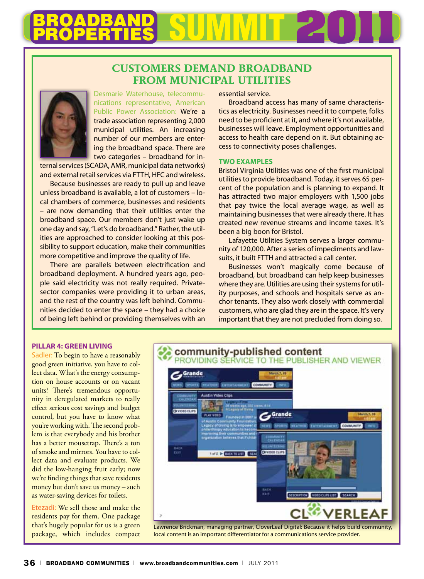#### **Customers Demand Broadband From Municipal Utilities**



Desmarie Waterhouse, telecommunications representative, American Public Power Association: We're a trade association representing 2,000 municipal utilities. An increasing number of our members are entering the broadband space. There are two categories – broadband for in-

ternal services (SCADA, AMR, municipal data networks) and external retail services via FTTH, HFC and wireless.

Because businesses are ready to pull up and leave unless broadband is available, a lot of customers – local chambers of commerce, businesses and residents – are now demanding that their utilities enter the broadband space. Our members don't just wake up one day and say, "Let's do broadband." Rather, the utilities are approached to consider looking at this possibility to support education, make their communities more competitive and improve the quality of life.

There are parallels between electrification and broadband deployment. A hundred years ago, people said electricity was not really required. Privatesector companies were providing it to urban areas, and the rest of the country was left behind. Communities decided to enter the space – they had a choice of being left behind or providing themselves with an

essential service.

Broadband access has many of same characteristics as electricity. Businesses need it to compete, folks need to be proficient at it, and where it's not available, businesses will leave. Employment opportunities and access to health care depend on it. But obtaining access to connectivity poses challenges.

#### **Two Examples**

Bristol Virginia Utilities was one of the first municipal utilities to provide broadband. Today, it serves 65 percent of the population and is planning to expand. It has attracted two major employers with 1,500 jobs that pay twice the local average wage, as well as maintaining businesses that were already there. It has created new revenue streams and income taxes. It's been a big boon for Bristol.

Lafayette Utilities System serves a larger community of 120,000. After a series of impediments and lawsuits, it built FTTH and attracted a call center.

Businesses won't magically come because of broadband, but broadband can help keep businesses where they are. Utilities are using their systems for utility purposes, and schools and hospitals serve as anchor tenants. They also work closely with commercial customers, who are glad they are in the space. It's very important that they are not precluded from doing so.

#### **Pillar 4: Green Living**

Sadler: To begin to have a reasonably good green initiative, you have to collect data. What's the energy consumption on house accounts or on vacant units? There's tremendous opportunity in deregulated markets to really effect serious cost savings and budget control, but you have to know what you're working with. The second problem is that everybody and his brother has a better mousetrap. There's a ton of smoke and mirrors. You have to collect data and evaluate products. We did the low-hanging fruit early; now we're finding things that save residents money but don't save us money – such as water-saving devices for toilets.

Etezadi: We sell those and make the residents pay for them. One package that's hugely popular for us is a green package, which includes compact